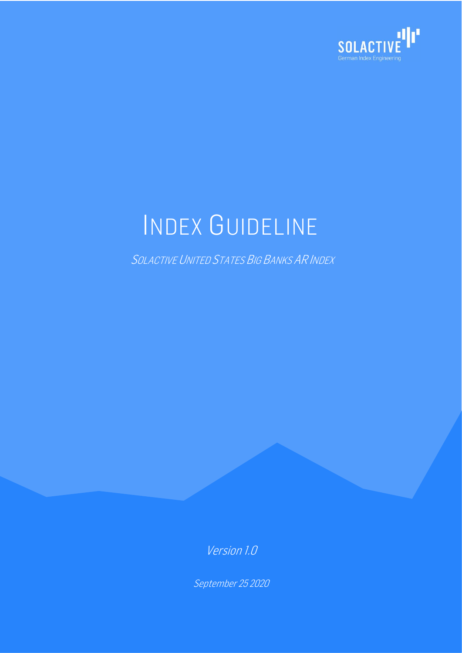

# INDEX GUIDELINE

SOLACTIVE UNITED STATES BIG BANKS AR INDEX

Version 1.0

September 25 2020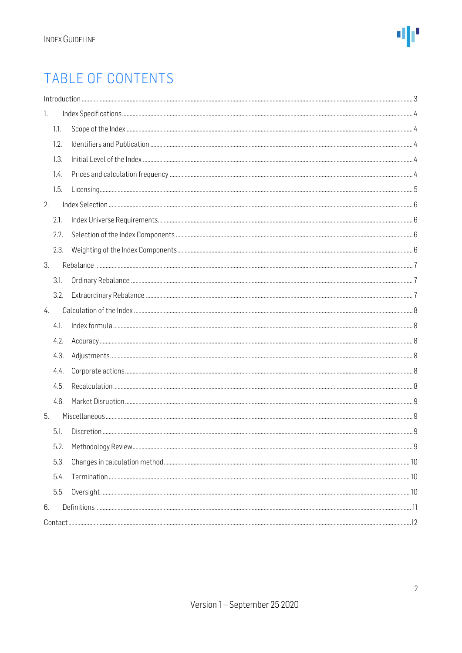# TABLE OF CONTENTS

|    |      | Introduction 33 |  |
|----|------|-----------------|--|
| 1. |      |                 |  |
|    | 1.1. |                 |  |
|    | 1.2. |                 |  |
|    | 1.3. |                 |  |
|    | 1.4. |                 |  |
|    | 1.5. |                 |  |
| 2. |      |                 |  |
|    | 2.1. |                 |  |
|    | 2.2. |                 |  |
|    | 2.3. |                 |  |
| 3. |      |                 |  |
|    | 3.1. |                 |  |
|    | 3.2. |                 |  |
| 4. |      |                 |  |
|    | 4.1. |                 |  |
|    | 4.2. |                 |  |
|    | 4.3. |                 |  |
|    | 4.4. |                 |  |
|    | 4.5. |                 |  |
|    | 4.6. |                 |  |
| 5. |      |                 |  |
|    | 5.1. |                 |  |
|    | 5.2. |                 |  |
|    | 5.3. |                 |  |
|    | 5.4. |                 |  |
|    | 5.5. |                 |  |
| 6. |      |                 |  |
|    |      |                 |  |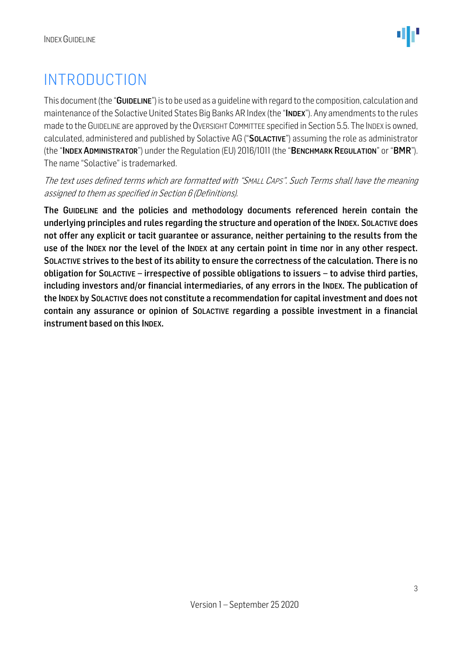# <span id="page-2-0"></span>INTRODUCTION

This document (the "GUIDELINE") is to be used as a quideline with regard to the composition, calculation and maintenance of the Solactive United States Big Banks AR Index (the "INDEX"). Any amendments to the rules made to the GUIDELINE are approved by the OVERSIGHT COMMITTEE specified in Section 5.5. The INDEX is owned, calculated, administered and published by Solactive AG ("SOLACTIVE") assuming the role as administrator (the "INDEX ADMINISTRATOR") under the Regulation (EU) 2016/1011 (the "BENCHMARK REGULATION" or "BMR"). The name "Solactive" is trademarked.

The text uses defined terms which are formatted with "SMALL CAPS". Such Terms shall have the meaning assigned to them as specified in Section 6 (Definitions).

The GUIDELINE and the policies and methodology documents referenced herein contain the underlying principles and rules regarding the structure and operation of the INDEX. SOLACTIVE does not offer any explicit or tacit guarantee or assurance, neither pertaining to the results from the use of the INDEX nor the level of the INDEX at any certain point in time nor in any other respect. SOLACTIVE strives to the best of its ability to ensure the correctness of the calculation. There is no obligation for SOLACTIVE – irrespective of possible obligations to issuers – to advise third parties, including investors and/or financial intermediaries, of any errors in the INDEX. The publication of the INDEX by SOLACTIVE does not constitute a recommendation for capital investment and does not contain any assurance or opinion of SOLACTIVE regarding a possible investment in a financial instrument based on this INDEX.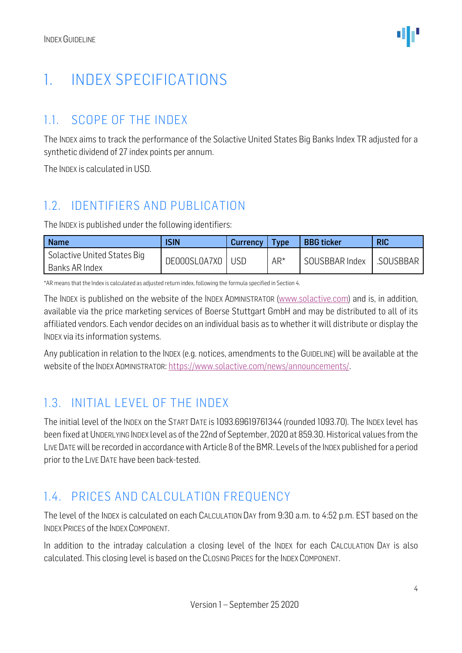# <span id="page-3-0"></span>1. INDEX SPECIFICATIONS

#### <span id="page-3-1"></span>1.1. SCOPE OF THE INDEX

The INDEX aims to track the performance of the Solactive United States Big Banks Index TR adjusted for a synthetic dividend of 27 index points per annum.

The INDEX is calculated in USD.

#### <span id="page-3-2"></span>1.2. IDENTIFIERS AND PUBLICATION

The INDEX is published under the following identifiers:

| <b>Name</b>                                   | <b>ISIN</b>        | Currency | Type   | <b>BBG</b> ticker | <b>RIC</b> |
|-----------------------------------------------|--------------------|----------|--------|-------------------|------------|
| Solactive United States Big<br>Banks AR Index | DE000SL0A7X0   USD |          | $AR^*$ | SOUSBBAR Index    | .SOUSBBAR  |

\*AR means that the Index is calculated as adjusted return index, following the formula specified in Section 4.

The INDEX is published on the website of the INDEX ADMINISTRATOR [\(www.solactive.com\)](http://www.solactive.com/) and is, in addition, available via the price marketing services of Boerse Stuttgart GmbH and may be distributed to all of its affiliated vendors. Each vendor decides on an individual basis as to whether it will distribute or display the INDEX via its information systems.

Any publication in relation to the INDEX (e.g. notices, amendments to the GUIDELINE) will be available at the website of the INDEX ADMINISTRATOR: [https://www.solactive.com/news/announcements/.](https://www.solactive.com/news/announcements/)

#### <span id="page-3-3"></span>1.3. INITIAL LEVEL OF THE INDEX

The initial level of the INDEX on the START DATE is 1093.69619761344 (rounded 1093.70). The INDEX level has been fixed at UNDERLYING INDEX level as of the 22nd of September, 2020 at 859.30. Historical values from the LIVE DATEwill be recorded in accordance with Article 8 of the BMR. Levels of the INDEX published for a period prior to the LIVE DATE have been back-tested.

#### <span id="page-3-4"></span>1.4. PRICES AND CALCULATION FREQUENCY

The level of the INDEX is calculated on each CALCULATION DAY from 9:30 a.m. to 4:52 p.m. EST based on the INDEX PRICES of the INDEX COMPONENT.

In addition to the intraday calculation a closing level of the INDEX for each CALCULATION DAY is also calculated. This closing level is based on the CLOSING PRICES for the INDEX COMPONENT.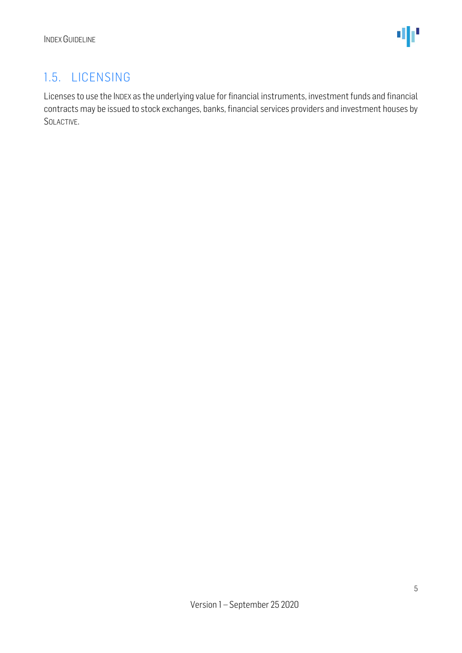#### <span id="page-4-0"></span>1.5. LICENSING

Licenses to use the INDEX as the underlying value for financial instruments, investment funds and financial contracts may be issued to stock exchanges, banks, financial services providers and investment houses by SOLACTIVE.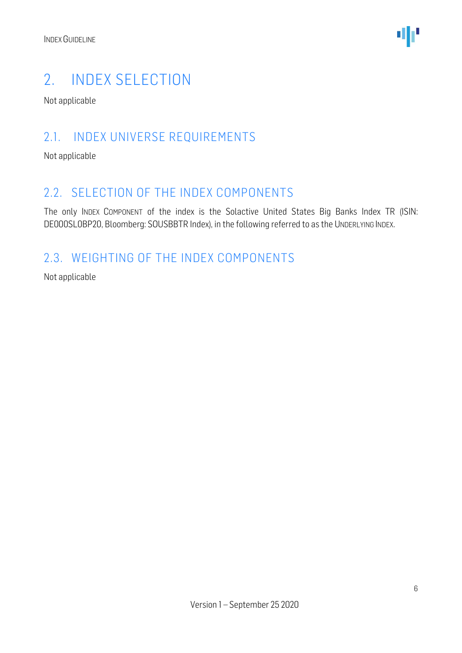

### <span id="page-5-0"></span>2. INDEX SELECTION

Not applicable

#### <span id="page-5-1"></span>2.1. INDEX UNIVERSE REQUIREMENTS

Not applicable

#### <span id="page-5-2"></span>2.2. SELECTION OF THE INDEX COMPONENTS

The only INDEX COMPONENT of the index is the Solactive United States Big Banks Index TR (ISIN: DE000SL0BP20, Bloomberg: SOUSBBTR Index), in the following referred to as the UNDERLYING INDEX.

#### <span id="page-5-3"></span>2.3. WEIGHTING OF THE INDEX COMPONENTS

Not applicable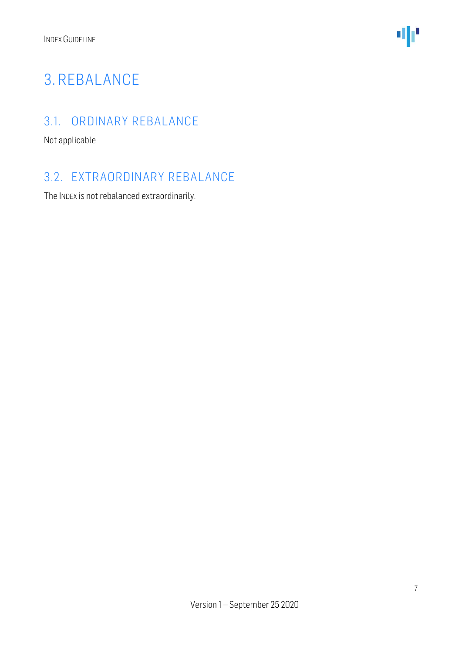

# <span id="page-6-0"></span>3. REBALANCE

#### <span id="page-6-1"></span>3.1. ORDINARY REBALANCE

Not applicable

#### <span id="page-6-2"></span>3.2. EXTRAORDINARY REBALANCE

The INDEX is not rebalanced extraordinarily.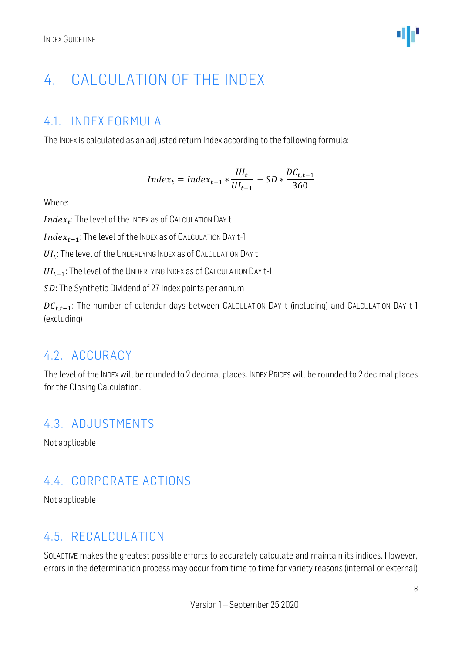# <span id="page-7-0"></span>4. CALCULATION OF THE INDEX

#### <span id="page-7-1"></span>4.1. INDEX FORMULA

The INDEX is calculated as an adjusted return Index according to the following formula:

$$
Index_t = Index_{t-1} * \frac{UI_t}{UI_{t-1}} - SD * \frac{DC_{t,t-1}}{360}
$$

Where:

 $Index_t$ : The level of the Index as of Calculation Day t

 $Index_{t-1}$ : The level of the INDEX as of CALCULATION DAY t-1

 $UI_t$ : The level of the UNDERLYING INDEX as of CALCULATION DAY t

 $UI_{t-1}$ : The level of the UNDERLYING INDEX as of CALCULATION DAY t-1

SD: The Synthetic Dividend of 27 index points per annum

 $DC_{t,t-1}$ : The number of calendar days between CALCULATION DAY t (including) and CALCULATION DAY t-1 (excluding)

#### <span id="page-7-2"></span>4.2. ACCURACY

The level of the INDEX will be rounded to 2 decimal places. INDEX PRICES will be rounded to 2 decimal places for the Closing Calculation.

#### <span id="page-7-3"></span>4.3. ADJUSTMENTS

Not applicable

#### <span id="page-7-4"></span>4.4. CORPORATE ACTIONS

Not applicable

#### <span id="page-7-5"></span>4.5. RECALCULATION

SOLACTIVE makes the greatest possible efforts to accurately calculate and maintain its indices. However, errors in the determination process may occur from time to time for variety reasons (internal or external)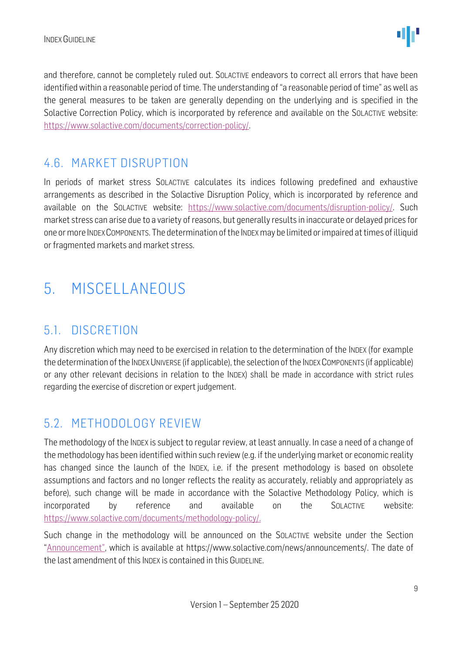and therefore, cannot be completely ruled out. SOLACTIVE endeavors to correct all errors that have been identified within a reasonable period of time. The understanding of "a reasonable period of time" as well as the general measures to be taken are generally depending on the underlying and is specified in the Solactive Correction Policy, which is incorporated by reference and available on the SOLACTIVE website: [https://www.solactive.com/documents/correction-policy/.](https://www.solactive.com/documents/correction-policy/)

#### <span id="page-8-0"></span>4.6. MARKET DISRUPTION

In periods of market stress SOLACTIVE calculates its indices following predefined and exhaustive arrangements as described in the Solactive Disruption Policy, which is incorporated by reference and available on the SOLACTIVE website: [https://www.solactive.com/documents/disruption-policy/.](https://www.solactive.com/documents/disruption-policy/) Such market stress can arise due to a variety of reasons, but generally results in inaccurate or delayed prices for one or more INDEXCOMPONENTS. The determination of the INDEXmay be limited or impaired at times of illiquid or fragmented markets and market stress.

# <span id="page-8-1"></span>5. MISCELLANEOUS

#### <span id="page-8-2"></span>5.1. DISCRETION

Any discretion which may need to be exercised in relation to the determination of the INDEX (for example the determination of the INDEX UNIVERSE (if applicable), the selection of the INDEX COMPONENTS (if applicable) or any other relevant decisions in relation to the INDEX) shall be made in accordance with strict rules regarding the exercise of discretion or expert judgement.

#### <span id="page-8-3"></span>5.2. METHODOLOGY REVIEW

The methodology of the INDEX is subject to regular review, at least annually. In case a need of a change of the methodology has been identified within such review (e.g. if the underlying market or economic reality has changed since the launch of the INDEX, i.e. if the present methodology is based on obsolete assumptions and factors and no longer reflects the reality as accurately, reliably and appropriately as before), such change will be made in accordance with the Solactive Methodology Policy, which is incorporated by reference and available on the SOLACTIVE website: [https://www.solactive.com/documents/methodology-policy/.](https://www.solactive.com/documents/methodology-policy/)

Such change in the methodology will be announced on the SOLACTIVE website under the Section "Announcement", which is available at https://www.solactive.com/news/announcements/. The date of the last amendment of this INDEX is contained in this GUIDELINE.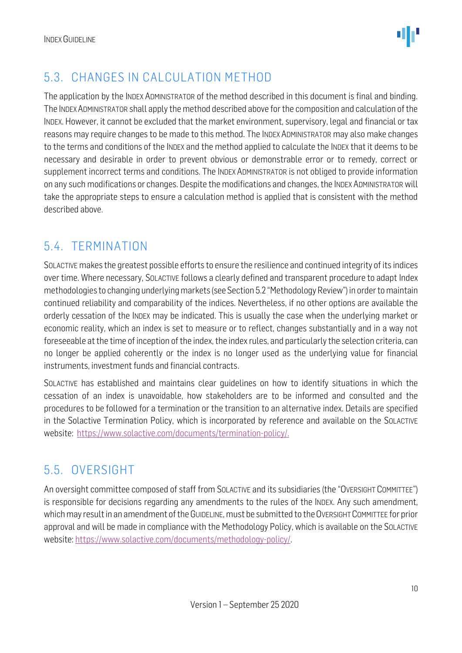

#### <span id="page-9-0"></span>5.3. CHANGES IN CALCULATION METHOD

The application by the INDEX ADMINISTRATOR of the method described in this document is final and binding. The INDEXADMINISTRATOR shall apply the method described above for the composition and calculation of the INDEX. However, it cannot be excluded that the market environment, supervisory, legal and financial or tax reasons may require changes to be made to this method. The INDEX ADMINISTRATOR may also make changes to the terms and conditions of the INDEX and the method applied to calculate the INDEX that it deems to be necessary and desirable in order to prevent obvious or demonstrable error or to remedy, correct or supplement incorrect terms and conditions. The INDEX ADMINISTRATOR is not obliged to provide information on any such modifications or changes. Despite the modifications and changes, the INDEX ADMINISTRATOR will take the appropriate steps to ensure a calculation method is applied that is consistent with the method described above.

#### <span id="page-9-1"></span>5.4. TERMINATION

SOLACTIVE makes the greatest possible efforts to ensure the resilience and continued integrity of its indices over time. Where necessary, SOLACTIVE follows a clearly defined and transparent procedure to adapt Index methodologies to changing underlying markets (see Section 5.2 "Methodology Review") in order to maintain continued reliability and comparability of the indices. Nevertheless, if no other options are available the orderly cessation of the INDEX may be indicated. This is usually the case when the underlying market or economic reality, which an index is set to measure or to reflect, changes substantially and in a way not foreseeable at the time of inception of the index, the index rules, and particularly the selection criteria, can no longer be applied coherently or the index is no longer used as the underlying value for financial instruments, investment funds and financial contracts.

SOLACTIVE has established and maintains clear guidelines on how to identify situations in which the cessation of an index is unavoidable, how stakeholders are to be informed and consulted and the procedures to be followed for a termination or the transition to an alternative index. Details are specified in the Solactive Termination Policy, which is incorporated by reference and available on the SOLACTIVE website: [https://www.solactive.com/documents/termination-policy/.](https://www.solactive.com/documents/termination-policy/)

#### <span id="page-9-2"></span>5.5. OVERSIGHT

An oversight committee composed of staff from SOLACTIVE and its subsidiaries (the "OVERSIGHT COMMITTEE") is responsible for decisions regarding any amendments to the rules of the INDEX. Any such amendment, which may result in an amendment of the GUIDELINE, must be submitted to the OVERSIGHT COMMITTEE for prior approval and will be made in compliance with the [Methodology](http://methodology/) Policy, which is available on the SOLACTIVE website: [https://www.solactive.com/documents/methodology-policy/.](https://www.solactive.com/documents/methodology-policy/)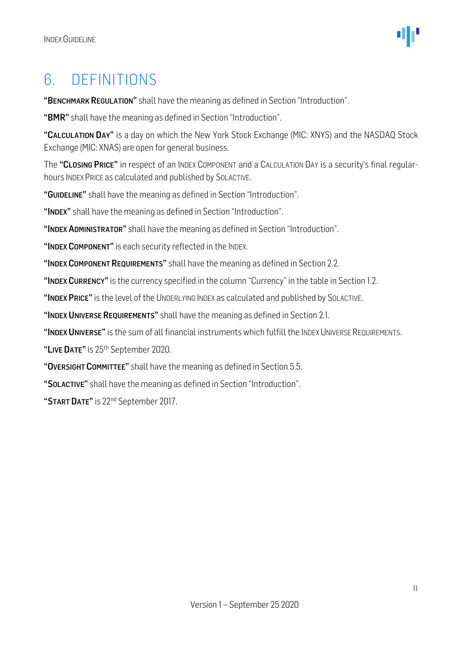# <span id="page-10-0"></span>6. DEFINITIONS

"BENCHMARK REGULATION" shall have the meaning as defined in Section "Introduction".

"BMR" shall have the meaning as defined in Section "Introduction".

"CALCULATION DAY" is a day on which the New York Stock Exchange (MIC: XNYS) and the NASDAQ Stock Exchange (MIC: XNAS) are open for general business.

The "CLOSING PRICE" in respect of an INDEX COMPONENT and a CALCULATION DAY is a security's final regularhours INDEX PRICE as calculated and published by SOLACTIVE.

"GUIDELINE" shall have the meaning as defined in Section "Introduction".

"INDEX" shall have the meaning as defined in Section "Introduction".

"INDEX ADMINISTRATOR" shall have the meaning as defined in Section "Introduction".

"INDEX COMPONENT" is each security reflected in the INDEX.

"INDEX COMPONENT REQUIREMENTS" shall have the meaning as defined in Section 2.2.

"INDEX CURRENCY" is the currency specified in the column "Currency" in the table in Section 1.2.

"INDEX PRICE" is the level of the UNDERLYING INDEX as calculated and published by SOLACTIVE.

"INDEX UNIVERSE REQUIREMENTS" shall have the meaning as defined in Section 2.1.

"INDEX UNIVERSE" is the sum of all financial instruments which fulfill the INDEX UNIVERSE REQUIREMENTS.

"LIVE DATE" is 25<sup>th</sup> September 2020.

"OVERSIGHT COMMITTEE" shall have the meaning as defined in Section 5.5.

"SOLACTIVE" shall have the meaning as defined in Section "Introduction".

"START DATE" is 22<sup>nd</sup> September 2017.